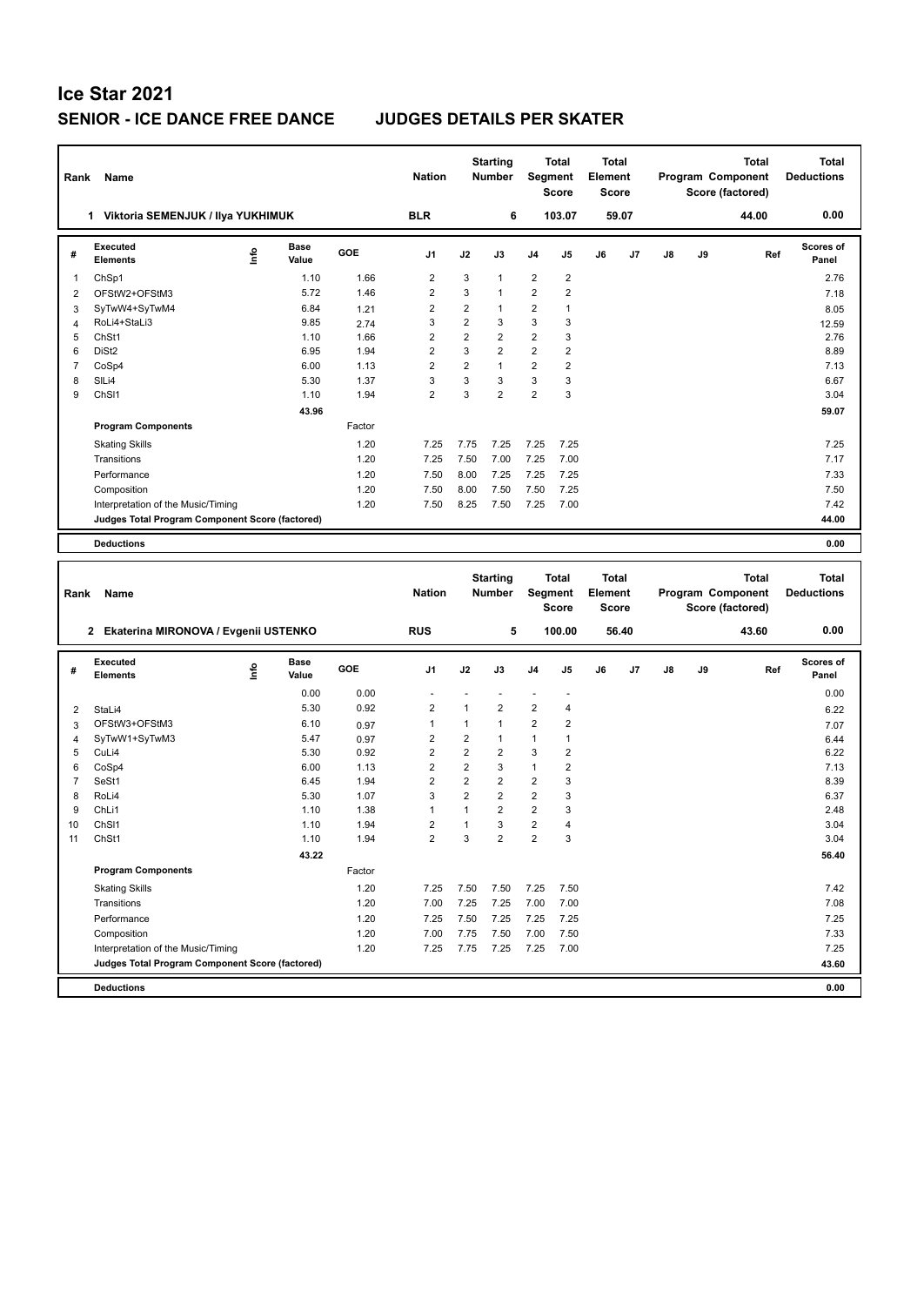## **Ice Star 2021 SENIOR - ICE DANCE FREE DANCE JUDGES DETAILS PER SKATER**

| Rank           | Name                                            |      |                      |        | <b>Nation</b>  |                | <b>Starting</b><br><b>Number</b> | Segment        | <b>Total</b><br><b>Score</b> | Total<br>Element<br><b>Score</b> |       |    |    | <b>Total</b><br>Program Component<br>Score (factored) | Total<br><b>Deductions</b> |
|----------------|-------------------------------------------------|------|----------------------|--------|----------------|----------------|----------------------------------|----------------|------------------------------|----------------------------------|-------|----|----|-------------------------------------------------------|----------------------------|
|                | Viktoria SEMENJUK / Ilya YUKHIMUK<br>1.         |      |                      |        | <b>BLR</b>     |                | 6                                |                | 103.07                       |                                  | 59.07 |    |    | 44.00                                                 | 0.00                       |
| #              | Executed<br><b>Elements</b>                     | ١rfo | <b>Base</b><br>Value | GOE    | J <sub>1</sub> | J2             | J3                               | J <sub>4</sub> | J <sub>5</sub>               | J6                               | J7    | J8 | J9 | Ref                                                   | Scores of<br>Panel         |
| 1              | ChSp1                                           |      | 1.10                 | 1.66   | $\overline{2}$ | 3              | $\mathbf{1}$                     | 2              | $\overline{2}$               |                                  |       |    |    |                                                       | 2.76                       |
| 2              | OFStW2+OFStM3                                   |      | 5.72                 | 1.46   | $\overline{2}$ | 3              | $\mathbf{1}$                     | $\overline{2}$ | $\overline{2}$               |                                  |       |    |    |                                                       | 7.18                       |
| 3              | SyTwW4+SyTwM4                                   |      | 6.84                 | 1.21   | $\overline{2}$ | $\overline{2}$ | $\mathbf{1}$                     | $\overline{2}$ | $\overline{1}$               |                                  |       |    |    |                                                       | 8.05                       |
| $\overline{4}$ | RoLi4+StaLi3                                    |      | 9.85                 | 2.74   | 3              | $\overline{2}$ | 3                                | 3              | 3                            |                                  |       |    |    |                                                       | 12.59                      |
| 5              | ChSt1                                           |      | 1.10                 | 1.66   | $\overline{2}$ | $\overline{2}$ | $\overline{2}$                   | $\overline{2}$ | 3                            |                                  |       |    |    |                                                       | 2.76                       |
| 6              | DiSt <sub>2</sub>                               |      | 6.95                 | 1.94   | $\overline{2}$ | 3              | $\overline{2}$                   | $\overline{2}$ | $\overline{2}$               |                                  |       |    |    |                                                       | 8.89                       |
| $\overline{7}$ | CoSp4                                           |      | 6.00                 | 1.13   | $\overline{2}$ | $\overline{2}$ | $\mathbf{1}$                     | $\overline{2}$ | $\overline{2}$               |                                  |       |    |    |                                                       | 7.13                       |
| 8              | SILi4                                           |      | 5.30                 | 1.37   | 3              | 3              | 3                                | 3              | 3                            |                                  |       |    |    |                                                       | 6.67                       |
| 9              | ChS <sub>11</sub>                               |      | 1.10                 | 1.94   | $\overline{2}$ | 3              | $\overline{2}$                   | $\overline{2}$ | 3                            |                                  |       |    |    |                                                       | 3.04                       |
|                |                                                 |      | 43.96                |        |                |                |                                  |                |                              |                                  |       |    |    |                                                       | 59.07                      |
|                | <b>Program Components</b>                       |      |                      | Factor |                |                |                                  |                |                              |                                  |       |    |    |                                                       |                            |
|                | <b>Skating Skills</b>                           |      |                      | 1.20   | 7.25           | 7.75           | 7.25                             | 7.25           | 7.25                         |                                  |       |    |    |                                                       | 7.25                       |
|                | Transitions                                     |      |                      | 1.20   | 7.25           | 7.50           | 7.00                             | 7.25           | 7.00                         |                                  |       |    |    |                                                       | 7.17                       |
|                | Performance                                     |      |                      | 1.20   | 7.50           | 8.00           | 7.25                             | 7.25           | 7.25                         |                                  |       |    |    |                                                       | 7.33                       |
|                | Composition                                     |      |                      | 1.20   | 7.50           | 8.00           | 7.50                             | 7.50           | 7.25                         |                                  |       |    |    |                                                       | 7.50                       |
|                | Interpretation of the Music/Timing              |      |                      | 1.20   | 7.50           | 8.25           | 7.50                             | 7.25           | 7.00                         |                                  |       |    |    |                                                       | 7.42                       |
|                | Judges Total Program Component Score (factored) |      |                      |        |                |                |                                  |                |                              |                                  |       |    |    |                                                       | 44.00                      |
|                | <b>Deductions</b>                               |      |                      |        |                |                |                                  |                |                              |                                  |       |    |    |                                                       | 0.00                       |
|                |                                                 |      |                      |        |                |                |                                  |                |                              |                                  |       |    |    |                                                       |                            |
|                |                                                 |      |                      |        |                |                | <b>Starting</b>                  |                | <b>Total</b>                 | <b>Total</b>                     |       |    |    | <b>Total</b>                                          | <b>Total</b>               |

| Rank | Name                                                 |      |                      |        | <b>Nation</b>  |                | olar ung<br><b>Number</b> | Segment        | τυιαι<br><b>Score</b> | τυιαι<br>Element<br><b>Score</b> |       |               |    | ιυιαι<br>Program Component<br>Score (factored) | ιυιαι<br><b>Deductions</b> |
|------|------------------------------------------------------|------|----------------------|--------|----------------|----------------|---------------------------|----------------|-----------------------|----------------------------------|-------|---------------|----|------------------------------------------------|----------------------------|
|      | Ekaterina MIRONOVA / Evgenii USTENKO<br>$\mathbf{2}$ |      |                      |        | <b>RUS</b>     |                | 5                         |                | 100.00                |                                  | 56.40 |               |    | 43.60                                          | 0.00                       |
| #    | Executed<br><b>Elements</b>                          | ١nf٥ | <b>Base</b><br>Value | GOE    | J <sub>1</sub> | J2             | J3                        | J <sub>4</sub> | J <sub>5</sub>        | J6                               | J7    | $\mathsf{J}8$ | J9 | Ref                                            | Scores of<br>Panel         |
|      |                                                      |      | 0.00                 | 0.00   |                |                |                           |                |                       |                                  |       |               |    |                                                | 0.00                       |
| 2    | StaLi4                                               |      | 5.30                 | 0.92   | $\overline{2}$ | 1              | $\overline{2}$            | $\overline{2}$ | $\overline{4}$        |                                  |       |               |    |                                                | 6.22                       |
| 3    | OFStW3+OFStM3                                        |      | 6.10                 | 0.97   | 1              |                | 1                         | $\overline{2}$ | $\overline{2}$        |                                  |       |               |    |                                                | 7.07                       |
| 4    | SyTwW1+SyTwM3                                        |      | 5.47                 | 0.97   | 2              | 2              | 1                         | $\mathbf{1}$   | 1                     |                                  |       |               |    |                                                | 6.44                       |
| 5    | CuLi4                                                |      | 5.30                 | 0.92   | $\overline{2}$ | $\overline{2}$ | $\overline{2}$            | 3              | $\overline{2}$        |                                  |       |               |    |                                                | 6.22                       |
| 6    | CoSp4                                                |      | 6.00                 | 1.13   | $\overline{2}$ | $\overline{2}$ | 3                         | $\mathbf{1}$   | $\overline{2}$        |                                  |       |               |    |                                                | 7.13                       |
|      | SeSt1                                                |      | 6.45                 | 1.94   | $\overline{2}$ | $\overline{2}$ | $\overline{2}$            | $\overline{2}$ | 3                     |                                  |       |               |    |                                                | 8.39                       |
| 8    | RoLi4                                                |      | 5.30                 | 1.07   | 3              | $\overline{2}$ | $\overline{2}$            | $\overline{2}$ | 3                     |                                  |       |               |    |                                                | 6.37                       |
| 9    | ChLi1                                                |      | 1.10                 | 1.38   | $\mathbf{1}$   |                | $\overline{2}$            | $\overline{2}$ | 3                     |                                  |       |               |    |                                                | 2.48                       |
| 10   | ChS <sub>11</sub>                                    |      | 1.10                 | 1.94   | $\overline{2}$ |                | 3                         | $\overline{2}$ | $\overline{4}$        |                                  |       |               |    |                                                | 3.04                       |
| 11   | ChSt1                                                |      | 1.10                 | 1.94   | $\overline{2}$ | 3              | $\overline{2}$            | $\overline{2}$ | 3                     |                                  |       |               |    |                                                | 3.04                       |
|      |                                                      |      | 43.22                |        |                |                |                           |                |                       |                                  |       |               |    |                                                | 56.40                      |
|      | <b>Program Components</b>                            |      |                      | Factor |                |                |                           |                |                       |                                  |       |               |    |                                                |                            |
|      | <b>Skating Skills</b>                                |      |                      | 1.20   | 7.25           | 7.50           | 7.50                      | 7.25           | 7.50                  |                                  |       |               |    |                                                | 7.42                       |
|      | Transitions                                          |      |                      | 1.20   | 7.00           | 7.25           | 7.25                      | 7.00           | 7.00                  |                                  |       |               |    |                                                | 7.08                       |
|      | Performance                                          |      |                      | 1.20   | 7.25           | 7.50           | 7.25                      | 7.25           | 7.25                  |                                  |       |               |    |                                                | 7.25                       |
|      | Composition                                          |      |                      | 1.20   | 7.00           | 7.75           | 7.50                      | 7.00           | 7.50                  |                                  |       |               |    |                                                | 7.33                       |
|      | Interpretation of the Music/Timing                   |      |                      | 1.20   | 7.25           | 7.75           | 7.25                      | 7.25           | 7.00                  |                                  |       |               |    |                                                | 7.25                       |
|      | Judges Total Program Component Score (factored)      |      |                      |        |                |                |                           |                |                       |                                  |       |               |    |                                                | 43.60                      |
|      | <b>Deductions</b>                                    |      |                      |        |                |                |                           |                |                       |                                  |       |               |    |                                                | 0.00                       |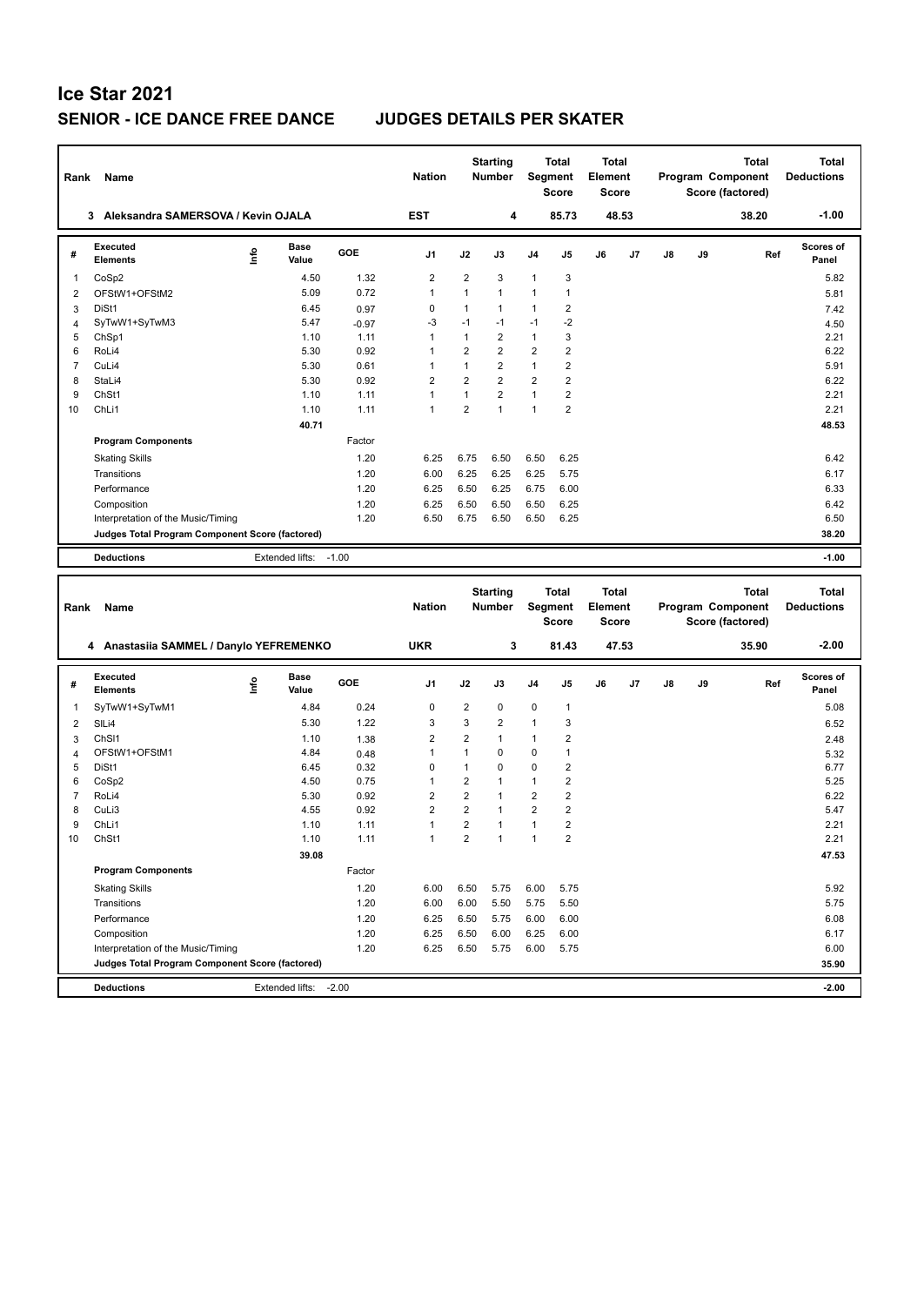## **Ice Star 2021 SENIOR - ICE DANCE FREE DANCE JUDGES DETAILS PER SKATER**

| Rank           | Name                                            |      |                      |            | <b>Nation</b>           |                | <b>Starting</b><br><b>Number</b> |                | Total<br><b>Segment</b><br><b>Score</b> | <b>Total</b><br>Element<br><b>Score</b> |       |    |    | Total<br>Program Component<br>Score (factored)        |     | Total<br><b>Deductions</b>        |
|----------------|-------------------------------------------------|------|----------------------|------------|-------------------------|----------------|----------------------------------|----------------|-----------------------------------------|-----------------------------------------|-------|----|----|-------------------------------------------------------|-----|-----------------------------------|
|                | 3 Aleksandra SAMERSOVA / Kevin OJALA            |      |                      |            | EST                     |                | 4                                |                | 85.73                                   |                                         | 48.53 |    |    | 38.20                                                 |     | $-1.00$                           |
| #              | Executed<br><b>Elements</b>                     | lnfo | <b>Base</b><br>Value | <b>GOE</b> | J1                      | J2             | J3                               | J4             | J5                                      | J6                                      | J7    | J8 | J9 |                                                       | Ref | <b>Scores of</b><br>Panel         |
| 1              | CoSp2                                           |      | 4.50                 | 1.32       | $\overline{2}$          | $\overline{2}$ | 3                                | 1              | 3                                       |                                         |       |    |    |                                                       |     | 5.82                              |
| $\overline{2}$ | OFStW1+OFStM2                                   |      | 5.09                 | 0.72       | $\mathbf{1}$            | $\mathbf{1}$   | $\mathbf{1}$                     | 1              | $\mathbf{1}$                            |                                         |       |    |    |                                                       |     | 5.81                              |
| 3              | DiSt1                                           |      | 6.45                 | 0.97       | 0                       | $\mathbf{1}$   | $\mathbf{1}$                     | 1              | $\overline{2}$                          |                                         |       |    |    |                                                       |     | 7.42                              |
| 4              | SyTwW1+SyTwM3                                   |      | 5.47                 | $-0.97$    | $-3$                    | $-1$           | $-1$                             | $-1$           | $-2$                                    |                                         |       |    |    |                                                       |     | 4.50                              |
| 5              | ChSp1                                           |      | 1.10                 | 1.11       | $\mathbf{1}$            | $\mathbf{1}$   | $\overline{2}$                   | 1              | 3                                       |                                         |       |    |    |                                                       |     | 2.21                              |
| 6              | RoLi4                                           |      | 5.30                 | 0.92       | 1                       | 2              | $\overline{2}$                   | 2              | $\overline{\mathbf{c}}$                 |                                         |       |    |    |                                                       |     | 6.22                              |
| $\overline{7}$ | CuLi4                                           |      | 5.30                 | 0.61       | $\mathbf{1}$            | $\mathbf{1}$   | $\overline{2}$                   | $\mathbf{1}$   | $\overline{2}$                          |                                         |       |    |    |                                                       |     | 5.91                              |
| 8              | StaLi4                                          |      | 5.30                 | 0.92       | $\overline{2}$          | $\overline{2}$ | $\overline{2}$                   | $\overline{2}$ | $\overline{2}$                          |                                         |       |    |    |                                                       |     | 6.22                              |
| 9              | ChSt1                                           |      | 1.10                 | 1.11       | $\mathbf{1}$            | $\mathbf{1}$   | $\overline{2}$                   | $\mathbf{1}$   | $\boldsymbol{2}$                        |                                         |       |    |    |                                                       |     | 2.21                              |
| 10             | ChL <sub>i1</sub>                               |      | 1.10                 | 1.11       | $\mathbf{1}$            | $\overline{2}$ | $\mathbf{1}$                     | 1              | $\overline{2}$                          |                                         |       |    |    |                                                       |     | 2.21                              |
|                |                                                 |      | 40.71                |            |                         |                |                                  |                |                                         |                                         |       |    |    |                                                       |     | 48.53                             |
|                | <b>Program Components</b>                       |      |                      | Factor     |                         |                |                                  |                |                                         |                                         |       |    |    |                                                       |     |                                   |
|                | <b>Skating Skills</b>                           |      |                      | 1.20       | 6.25                    | 6.75           | 6.50                             | 6.50           | 6.25                                    |                                         |       |    |    |                                                       |     | 6.42                              |
|                | Transitions                                     |      |                      | 1.20       | 6.00                    | 6.25           | 6.25                             | 6.25           | 5.75                                    |                                         |       |    |    |                                                       |     | 6.17                              |
|                | Performance                                     |      |                      | 1.20       | 6.25                    | 6.50           | 6.25                             | 6.75           | 6.00                                    |                                         |       |    |    |                                                       |     | 6.33                              |
|                | Composition                                     |      |                      | 1.20       | 6.25                    | 6.50           | 6.50                             | 6.50           | 6.25                                    |                                         |       |    |    |                                                       |     | 6.42                              |
|                | Interpretation of the Music/Timing              |      |                      | 1.20       | 6.50                    | 6.75           | 6.50                             | 6.50           | 6.25                                    |                                         |       |    |    |                                                       |     | 6.50                              |
|                | Judges Total Program Component Score (factored) |      |                      |            |                         |                |                                  |                |                                         |                                         |       |    |    |                                                       |     | 38.20                             |
|                |                                                 |      |                      |            |                         |                |                                  |                |                                         |                                         |       |    |    |                                                       |     |                                   |
|                | <b>Deductions</b>                               |      | Extended lifts:      | $-1.00$    |                         |                |                                  |                |                                         |                                         |       |    |    |                                                       |     | $-1.00$                           |
|                |                                                 |      |                      |            |                         |                |                                  |                |                                         |                                         |       |    |    |                                                       |     |                                   |
| Rank           | Name                                            |      |                      |            | <b>Nation</b>           |                | <b>Starting</b><br><b>Number</b> |                | Total<br>Segment<br><b>Score</b>        | <b>Total</b><br>Element<br><b>Score</b> |       |    |    | <b>Total</b><br>Program Component<br>Score (factored) |     | <b>Total</b><br><b>Deductions</b> |
|                | 4 Anastasiia SAMMEL / Danylo YEFREMENKO         |      |                      |            | <b>UKR</b>              |                | 3                                |                | 81.43                                   |                                         | 47.53 |    |    | 35.90                                                 |     | $-2.00$                           |
|                | <b>Executed</b>                                 |      | Base                 |            |                         |                |                                  |                |                                         |                                         |       |    |    |                                                       |     | Scores of                         |
| #              | <b>Elements</b>                                 | ١nf٥ | Value                | GOE        | J1                      | J2             | J3                               | J4             | J5                                      | J6                                      | J7    | J8 | J9 |                                                       | Ref | Panel                             |
| 1              | SyTwW1+SyTwM1                                   |      | 4.84                 | 0.24       | $\mathbf 0$             | $\overline{2}$ | 0                                | 0              | $\mathbf{1}$                            |                                         |       |    |    |                                                       |     | 5.08                              |
| 2              | SILi4                                           |      | 5.30                 | 1.22       | 3                       | 3              | $\overline{2}$                   | 1              | 3                                       |                                         |       |    |    |                                                       |     | 6.52                              |
| 3              | ChS <sub>11</sub>                               |      | 1.10                 | 1.38       | $\overline{2}$          | $\overline{2}$ | $\mathbf{1}$                     | 1              | $\overline{2}$                          |                                         |       |    |    |                                                       |     | 2.48                              |
| 4              | OFStW1+OFStM1                                   |      | 4.84                 | 0.48       | $\mathbf{1}$            | $\mathbf{1}$   | 0                                | 0              | $\mathbf{1}$                            |                                         |       |    |    |                                                       |     | 5.32                              |
| 5              | DiSt1                                           |      | 6.45                 | 0.32       | $\mathbf 0$             | $\mathbf{1}$   | 0                                | 0              | $\overline{2}$                          |                                         |       |    |    |                                                       |     | 6.77                              |
| 6              | CoSp2                                           |      | 4.50                 | 0.75       | $\mathbf{1}$            | $\overline{2}$ | $\mathbf{1}$                     | 1              | $\overline{2}$                          |                                         |       |    |    |                                                       |     | 5.25                              |
| $\overline{7}$ | RoLi4                                           |      | 5.30                 | 0.92       | $\overline{\mathbf{c}}$ | $\overline{2}$ | $\mathbf{1}$                     | 2              | $\boldsymbol{2}$                        |                                         |       |    |    |                                                       |     | 6.22                              |
| 8              | CuLi3                                           |      | 4.55                 | 0.92       | $\overline{2}$          | $\overline{2}$ | $\mathbf{1}$                     | 2              | $\overline{\mathbf{c}}$                 |                                         |       |    |    |                                                       |     | 5.47                              |
| 9              | ChL <sub>i1</sub>                               |      | 1.10                 | 1.11       | $\mathbf{1}$            | $\overline{2}$ | $\mathbf{1}$                     | 1              | $\overline{2}$                          |                                         |       |    |    |                                                       |     | 2.21                              |
| 10             | ChSt1                                           |      | 1.10                 | 1.11       | 1                       | $\overline{2}$ | $\mathbf{1}$                     | 1              | $\overline{2}$                          |                                         |       |    |    |                                                       |     | 2.21                              |
|                |                                                 |      | 39.08                |            |                         |                |                                  |                |                                         |                                         |       |    |    |                                                       |     | 47.53                             |
|                | <b>Program Components</b>                       |      |                      | Factor     |                         |                |                                  |                |                                         |                                         |       |    |    |                                                       |     |                                   |
|                | <b>Skating Skills</b>                           |      |                      | 1.20       | 6.00                    | 6.50           | 5.75                             | 6.00           | 5.75                                    |                                         |       |    |    |                                                       |     | 5.92                              |
|                | Transitions                                     |      |                      | 1.20       | 6.00                    | 6.00           | 5.50                             | 5.75           | 5.50                                    |                                         |       |    |    |                                                       |     | 5.75                              |
|                | Performance                                     |      |                      | 1.20       | 6.25                    | 6.50           | 5.75                             | 6.00           | 6.00                                    |                                         |       |    |    |                                                       |     | 6.08                              |
|                | Composition                                     |      |                      | 1.20       | 6.25                    | 6.50           | 6.00                             | 6.25           | 6.00                                    |                                         |       |    |    |                                                       |     | 6.17                              |
|                | Interpretation of the Music/Timing              |      |                      | 1.20       | 6.25                    | 6.50           | 5.75                             | 6.00           | 5.75                                    |                                         |       |    |    |                                                       |     | 6.00                              |
|                | Judges Total Program Component Score (factored) |      |                      |            |                         |                |                                  |                |                                         |                                         |       |    |    |                                                       |     | 35.90                             |